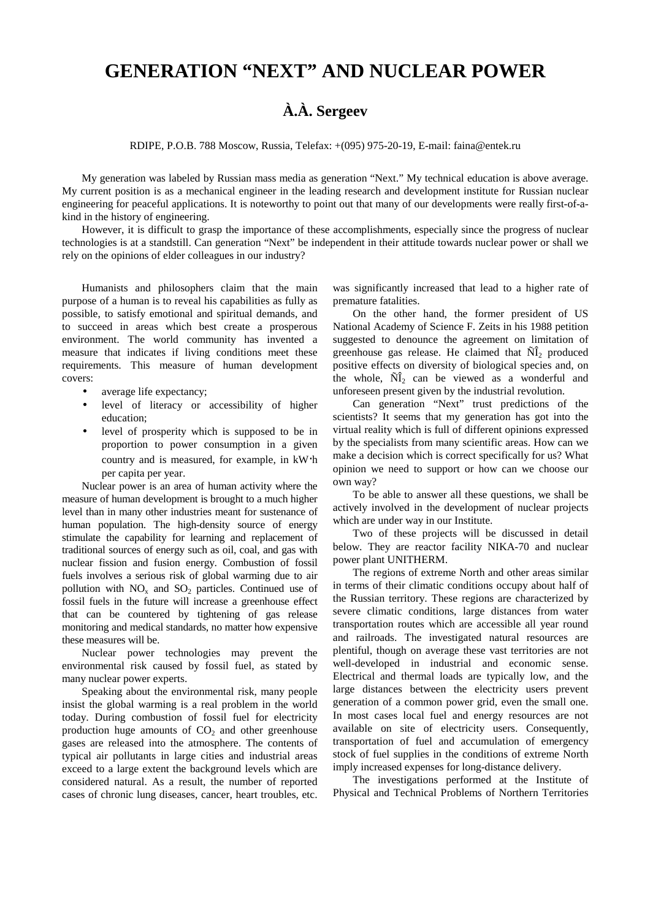## **GENERATION "NEXT" AND NUCLEAR POWER**

## **À.À. Sergeev**

RDIPE, P.O.B. 788 Moscow, Russia, Telefax: +(095) 975-20-19, E-mail: faina@entek.ru

My generation was labeled by Russian mass media as generation "Next." My technical education is above average. My current position is as a mechanical engineer in the leading research and development institute for Russian nuclear engineering for peaceful applications. It is noteworthy to point out that many of our developments were really first-of-akind in the history of engineering.

However, it is difficult to grasp the importance of these accomplishments, especially since the progress of nuclear technologies is at a standstill. Can generation "Next" be independent in their attitude towards nuclear power or shall we rely on the opinions of elder colleagues in our industry?

Humanists and philosophers claim that the main purpose of a human is to reveal his capabilities as fully as possible, to satisfy emotional and spiritual demands, and to succeed in areas which best create a prosperous environment. The world community has invented a measure that indicates if living conditions meet these requirements. This measure of human development covers:

- average life expectancy;
- level of literacy or accessibility of higher education;
- level of prosperity which is supposed to be in proportion to power consumption in a given country and is measured, for example, in kW⋅h per capita per year.

Nuclear power is an area of human activity where the measure of human development is brought to a much higher level than in many other industries meant for sustenance of human population. The high-density source of energy stimulate the capability for learning and replacement of traditional sources of energy such as oil, coal, and gas with nuclear fission and fusion energy. Combustion of fossil fuels involves a serious risk of global warming due to air pollution with  $NO<sub>x</sub>$  and  $SO<sub>2</sub>$  particles. Continued use of fossil fuels in the future will increase a greenhouse effect that can be countered by tightening of gas release monitoring and medical standards, no matter how expensive these measures will be.

Nuclear power technologies may prevent the environmental risk caused by fossil fuel, as stated by many nuclear power experts.

Speaking about the environmental risk, many people insist the global warming is a real problem in the world today. During combustion of fossil fuel for electricity production huge amounts of  $CO<sub>2</sub>$  and other greenhouse gases are released into the atmosphere. The contents of typical air pollutants in large cities and industrial areas exceed to a large extent the background levels which are considered natural. As a result, the number of reported cases of chronic lung diseases, cancer, heart troubles, etc.

was significantly increased that lead to a higher rate of premature fatalities.

On the other hand, the former president of US National Academy of Science F. Zeits in his 1988 petition suggested to denounce the agreement on limitation of greenhouse gas release. He claimed that  $\tilde{N}$ <sub>1</sub> produced positive effects on diversity of biological species and, on the whole,  $\tilde{N}$  can be viewed as a wonderful and unforeseen present given by the industrial revolution.

Can generation "Next" trust predictions of the scientists? It seems that my generation has got into the virtual reality which is full of different opinions expressed by the specialists from many scientific areas. How can we make a decision which is correct specifically for us? What opinion we need to support or how can we choose our own way?

To be able to answer all these questions, we shall be actively involved in the development of nuclear projects which are under way in our Institute.

Two of these projects will be discussed in detail below. They are reactor facility NIKA-70 and nuclear power plant UNITHERM.

The regions of extreme North and other areas similar in terms of their climatic conditions occupy about half of the Russian territory. These regions are characterized by severe climatic conditions, large distances from water transportation routes which are accessible all year round and railroads. The investigated natural resources are plentiful, though on average these vast territories are not well-developed in industrial and economic sense. Electrical and thermal loads are typically low, and the large distances between the electricity users prevent generation of a common power grid, even the small one. In most cases local fuel and energy resources are not available on site of electricity users. Consequently, transportation of fuel and accumulation of emergency stock of fuel supplies in the conditions of extreme North imply increased expenses for long-distance delivery.

The investigations performed at the Institute of Physical and Technical Problems of Northern Territories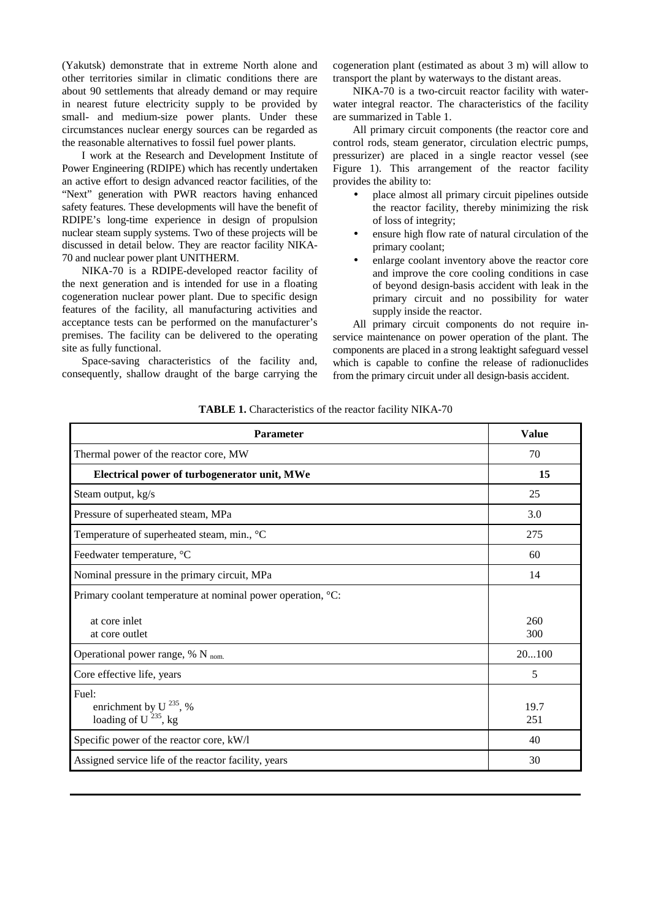(Yakutsk) demonstrate that in extreme North alone and other territories similar in climatic conditions there are about 90 settlements that already demand or may require in nearest future electricity supply to be provided by small- and medium-size power plants. Under these circumstances nuclear energy sources can be regarded as the reasonable alternatives to fossil fuel power plants.

I work at the Research and Development Institute of Power Engineering (RDIPE) which has recently undertaken an active effort to design advanced reactor facilities, of the "Next" generation with PWR reactors having enhanced safety features. These developments will have the benefit of RDIPE's long-time experience in design of propulsion nuclear steam supply systems. Two of these projects will be discussed in detail below. They are reactor facility NIKA-70 and nuclear power plant UNITHERM.

NIKA-70 is a RDIPE-developed reactor facility of the next generation and is intended for use in a floating cogeneration nuclear power plant. Due to specific design features of the facility, all manufacturing activities and acceptance tests can be performed on the manufacturer's premises. The facility can be delivered to the operating site as fully functional.

Space-saving characteristics of the facility and, consequently, shallow draught of the barge carrying the

cogeneration plant (estimated as about 3 m) will allow to transport the plant by waterways to the distant areas.

NIKA-70 is a two-circuit reactor facility with waterwater integral reactor. The characteristics of the facility are summarized in Table 1.

All primary circuit components (the reactor core and control rods, steam generator, circulation electric pumps, pressurizer) are placed in a single reactor vessel (see Figure 1). This arrangement of the reactor facility provides the ability to:

- place almost all primary circuit pipelines outside the reactor facility, thereby minimizing the risk of loss of integrity;
- ensure high flow rate of natural circulation of the primary coolant;
- enlarge coolant inventory above the reactor core and improve the core cooling conditions in case of beyond design-basis accident with leak in the primary circuit and no possibility for water supply inside the reactor.

All primary circuit components do not require inservice maintenance on power operation of the plant. The components are placed in a strong leaktight safeguard vessel which is capable to confine the release of radionuclides from the primary circuit under all design-basis accident.

|  | <b>TABLE 1.</b> Characteristics of the reactor facility NIKA-70 |  |  |  |
|--|-----------------------------------------------------------------|--|--|--|
|--|-----------------------------------------------------------------|--|--|--|

| <b>Parameter</b>                                                         | <b>Value</b> |
|--------------------------------------------------------------------------|--------------|
| Thermal power of the reactor core, MW                                    | 70           |
| Electrical power of turbogenerator unit, MWe                             | 15           |
| Steam output, kg/s                                                       | 25           |
| Pressure of superheated steam, MPa                                       | 3.0          |
| Temperature of superheated steam, min., °C                               | 275          |
| Feedwater temperature, °C                                                | 60           |
| Nominal pressure in the primary circuit, MPa                             | 14           |
| Primary coolant temperature at nominal power operation, °C:              |              |
| at core inlet<br>at core outlet                                          | 260<br>300   |
| Operational power range, $% N_{nom.}$                                    | 20100        |
| Core effective life, years                                               | 5            |
| Fuel:<br>enrichment by U <sup>235</sup> , %<br>loading of $U^{235}$ , kg | 19.7<br>251  |
| Specific power of the reactor core, kW/l                                 | 40           |
| Assigned service life of the reactor facility, years                     | 30           |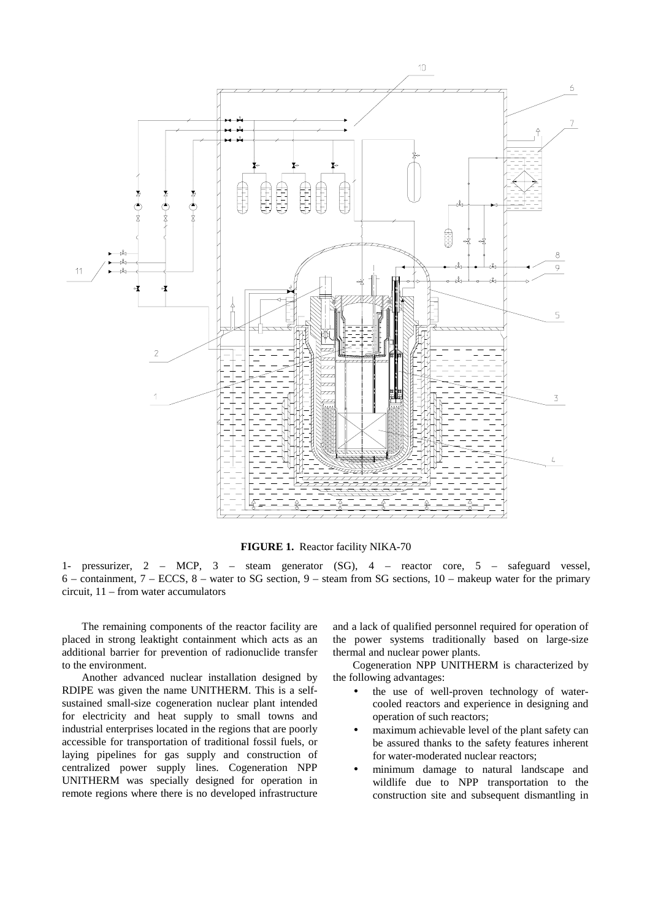

**FIGURE 1.** Reactor facility NIKA-70

1- pressurizer, 2 – MCP, 3 – steam generator (SG), 4 – reactor core, 5 – safeguard vessel, 6 – containment, 7 – ECCS, 8 – water to SG section, 9 – steam from SG sections, 10 – makeup water for the primary circuit, 11 – from water accumulators

The remaining components of the reactor facility are placed in strong leaktight containment which acts as an additional barrier for prevention of radionuclide transfer to the environment.

Another advanced nuclear installation designed by RDIPE was given the name UNITHERM. This is a selfsustained small-size cogeneration nuclear plant intended for electricity and heat supply to small towns and industrial enterprises located in the regions that are poorly accessible for transportation of traditional fossil fuels, or laying pipelines for gas supply and construction of centralized power supply lines. Cogeneration NPP UNITHERM was specially designed for operation in remote regions where there is no developed infrastructure

and a lack of qualified personnel required for operation of the power systems traditionally based on large-size thermal and nuclear power plants.

Cogeneration NPP UNITHERM is characterized by the following advantages:

- the use of well-proven technology of watercooled reactors and experience in designing and operation of such reactors;
- maximum achievable level of the plant safety can be assured thanks to the safety features inherent for water-moderated nuclear reactors;
- minimum damage to natural landscape and wildlife due to NPP transportation to the construction site and subsequent dismantling in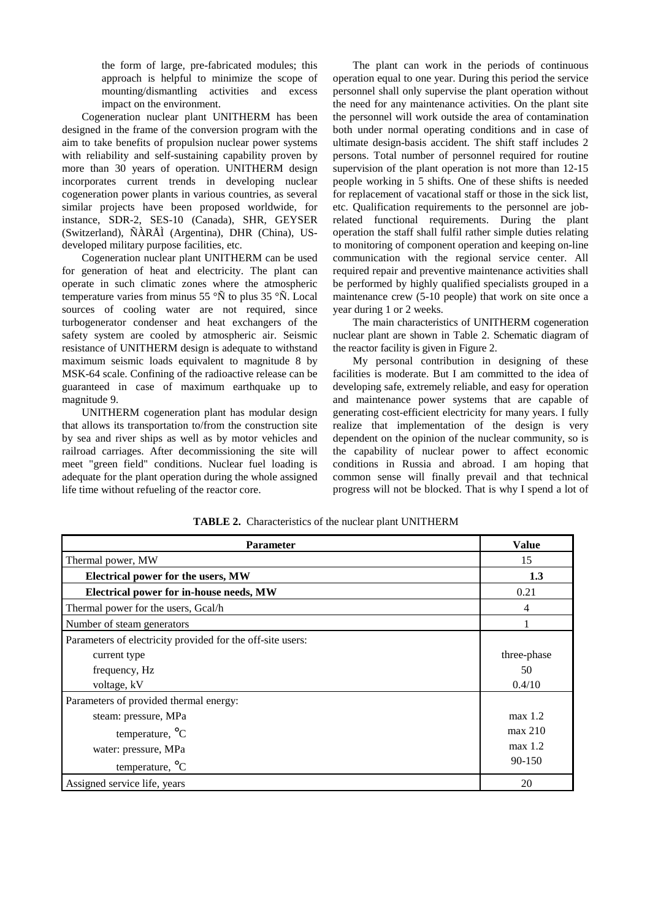the form of large, pre-fabricated modules; this approach is helpful to minimize the scope of mounting/dismantling activities and excess impact on the environment.

Cogeneration nuclear plant UNITHERM has been designed in the frame of the conversion program with the aim to take benefits of propulsion nuclear power systems with reliability and self-sustaining capability proven by more than 30 years of operation. UNITHERM design incorporates current trends in developing nuclear cogeneration power plants in various countries, as several similar projects have been proposed worldwide, for instance, SDR-2, SES-10 (Canada), SHR, GEYSER (Switzerland), ÑÀRÅÌ (Argentina), DHR (China), USdeveloped military purpose facilities, etc.

Cogeneration nuclear plant UNITHERM can be used for generation of heat and electricity. The plant can operate in such climatic zones where the atmospheric temperature varies from minus 55  $\rm\degree\tilde{N}$  to plus 35  $\rm\degree\tilde{N}$ . Local sources of cooling water are not required, since turbogenerator condenser and heat exchangers of the safety system are cooled by atmospheric air. Seismic resistance of UNITHERM design is adequate to withstand maximum seismic loads equivalent to magnitude 8 by MSK-64 scale. Confining of the radioactive release can be guaranteed in case of maximum earthquake up to magnitude 9.

UNITHERM cogeneration plant has modular design that allows its transportation to/from the construction site by sea and river ships as well as by motor vehicles and railroad carriages. After decommissioning the site will meet "green field" conditions. Nuclear fuel loading is adequate for the plant operation during the whole assigned life time without refueling of the reactor core.

The plant can work in the periods of continuous operation equal to one year. During this period the service personnel shall only supervise the plant operation without the need for any maintenance activities. On the plant site the personnel will work outside the area of contamination both under normal operating conditions and in case of ultimate design-basis accident. The shift staff includes 2 persons. Total number of personnel required for routine supervision of the plant operation is not more than 12-15 people working in 5 shifts. One of these shifts is needed for replacement of vacational staff or those in the sick list, etc. Qualification requirements to the personnel are jobrelated functional requirements. During the plant operation the staff shall fulfil rather simple duties relating to monitoring of component operation and keeping on-line communication with the regional service center. All required repair and preventive maintenance activities shall be performed by highly qualified specialists grouped in a maintenance crew (5-10 people) that work on site once a year during 1 or 2 weeks.

The main characteristics of UNITHERM cogeneration nuclear plant are shown in Table 2. Schematic diagram of the reactor facility is given in Figure 2.

My personal contribution in designing of these facilities is moderate. But I am committed to the idea of developing safe, extremely reliable, and easy for operation and maintenance power systems that are capable of generating cost-efficient electricity for many years. I fully realize that implementation of the design is very dependent on the opinion of the nuclear community, so is the capability of nuclear power to affect economic conditions in Russia and abroad. I am hoping that common sense will finally prevail and that technical progress will not be blocked. That is why I spend a lot of

| <b>Parameter</b>                                           | <b>Value</b> |
|------------------------------------------------------------|--------------|
| Thermal power, MW                                          | 15           |
| <b>Electrical power for the users, MW</b>                  | 1.3          |
| Electrical power for in-house needs, MW                    | 0.21         |
| Thermal power for the users, Gcal/h                        | 4            |
| Number of steam generators                                 |              |
| Parameters of electricity provided for the off-site users: |              |
| current type                                               | three-phase  |
| frequency, Hz                                              | 50           |
| voltage, kV                                                | 0.4/10       |
| Parameters of provided thermal energy:                     |              |
| steam: pressure, MPa                                       | max 1.2      |
| temperature, $^{\circ}C$                                   | max 210      |
| water: pressure, MPa                                       | max 1.2      |
| temperature, $^{\circ}C$                                   | 90-150       |
| Assigned service life, years                               | 20           |

**TABLE 2.** Characteristics of the nuclear plant UNITHERM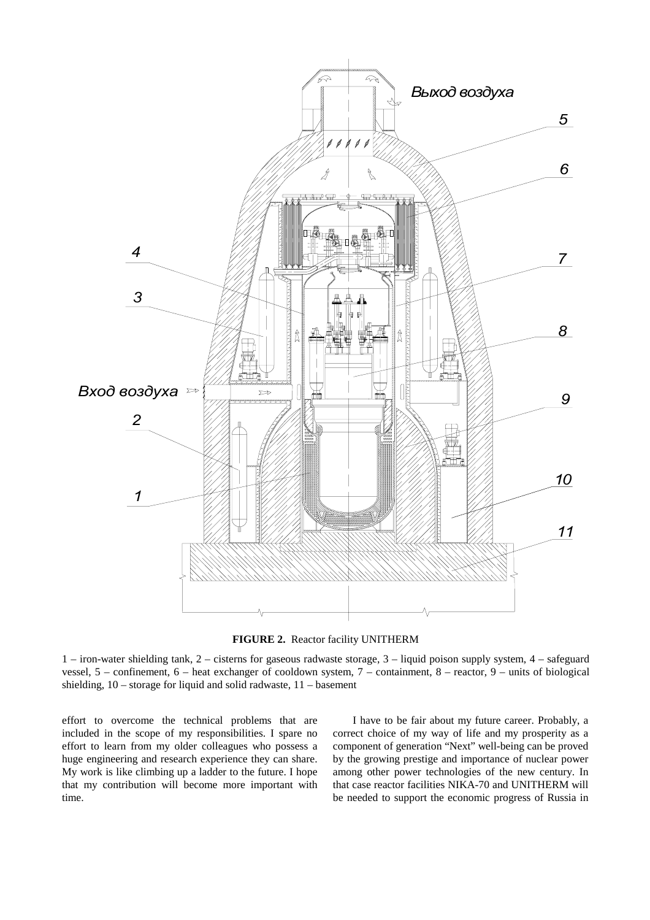



1 – iron-water shielding tank, 2 – cisterns for gaseous radwaste storage, 3 – liquid poison supply system, 4 – safeguard vessel, 5 – confinement, 6 – heat exchanger of cooldown system, 7 – containment, 8 – reactor, 9 – units of biological shielding, 10 – storage for liquid and solid radwaste, 11 – basement

effort to overcome the technical problems that are included in the scope of my responsibilities. I spare no effort to learn from my older colleagues who possess a huge engineering and research experience they can share. My work is like climbing up a ladder to the future. I hope that my contribution will become more important with time.

I have to be fair about my future career. Probably, a correct choice of my way of life and my prosperity as a component of generation "Next" well-being can be proved by the growing prestige and importance of nuclear power among other power technologies of the new century. In that case reactor facilities NIKA-70 and UNITHERM will be needed to support the economic progress of Russia in